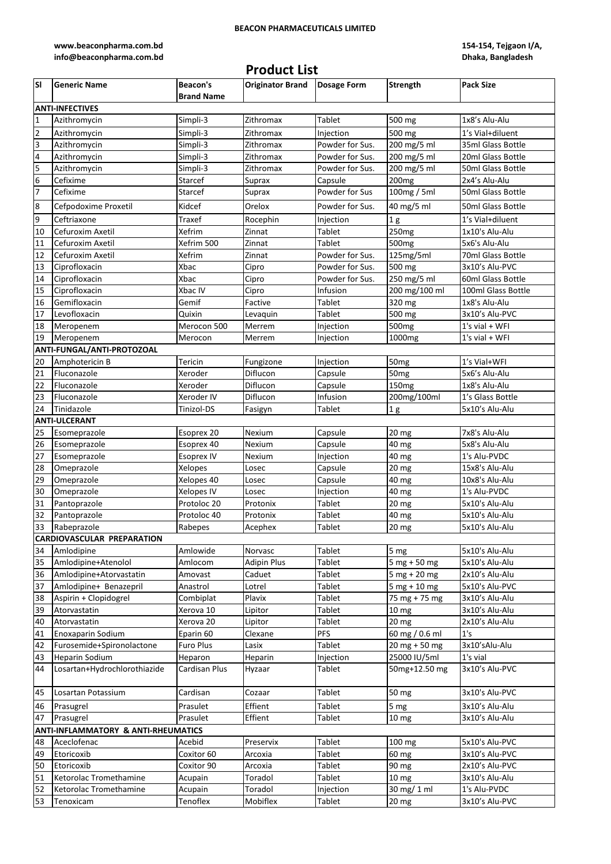### **BEACON PHARMACEUTICALS LIMITED**

**[www.beaconpharma.com.bd](http://www.beaconpharma.com.bd/)  [info@beaconpharma.com.bd](http://www.beaconpharma.com.bd/)**

### **Product List**

**154-154, Tejgaon I/A, Dhaka, Bangladesh**

| lsı                                            | <b>Generic Name</b>               | <b>Beacon's</b>   | <b>Originator Brand</b> | <b>Dosage Form</b> | <b>Strength</b>   | <b>Pack Size</b>   |  |
|------------------------------------------------|-----------------------------------|-------------------|-------------------------|--------------------|-------------------|--------------------|--|
|                                                |                                   | <b>Brand Name</b> |                         |                    |                   |                    |  |
|                                                | <b>ANTI-INFECTIVES</b>            |                   |                         |                    |                   |                    |  |
| $\mathbf{1}$                                   | Azithromycin                      | Simpli-3          | Zithromax               | Tablet             | 500 mg            | 1x8's Alu-Alu      |  |
| $\overline{2}$                                 | Azithromycin                      | Simpli-3          | Zithromax               | Injection          | 500 mg            | 1's Vial+diluent   |  |
| 3                                              | Azithromycin                      | Simpli-3          | Zithromax               | Powder for Sus.    | 200 mg/5 ml       | 35ml Glass Bottle  |  |
| $\overline{\mathbf{r}}$                        | Azithromycin                      | Simpli-3          | Zithromax               | Powder for Sus.    | 200 mg/5 ml       | 20ml Glass Bottle  |  |
|                                                |                                   |                   |                         |                    |                   |                    |  |
| 5                                              | Azithromycin                      | Simpli-3          | Zithromax               | Powder for Sus.    | 200 mg/5 ml       | 50ml Glass Bottle  |  |
| $\boldsymbol{6}$                               | Cefixime                          | Starcef           | Suprax                  | Capsule            | 200 <sub>mg</sub> | 2x4's Alu-Alu      |  |
| $\overline{7}$                                 | Cefixime                          | Starcef           | Suprax                  | Powder for Sus     | 100mg / 5ml       | 50ml Glass Bottle  |  |
| $\boldsymbol{8}$                               | Cefpodoxime Proxetil              | Kidcef            | Orelox                  | Powder for Sus.    | 40 mg/5 ml        | 50ml Glass Bottle  |  |
| $\boldsymbol{9}$                               | Ceftriaxone                       | Traxef            | Rocephin                | Injection          | 1 <sub>g</sub>    | 1's Vial+diluent   |  |
| 10                                             | Cefuroxim Axetil                  | Xefrim            | Zinnat                  | Tablet             | 250 <sub>mg</sub> | 1x10's Alu-Alu     |  |
| 11                                             | Cefuroxim Axetil                  | Xefrim 500        | Zinnat                  | Tablet             | 500 <sub>mg</sub> | 5x6's Alu-Alu      |  |
| 12                                             | Cefuroxim Axetil                  | Xefrim            | Zinnat                  | Powder for Sus.    | 125mg/5ml         | 70ml Glass Bottle  |  |
| 13                                             | Ciprofloxacin                     | Xbac              | Cipro                   | Powder for Sus.    | 500 mg            | 3x10's Alu-PVC     |  |
| 14                                             | Ciprofloxacin                     | Xbac              | Cipro                   | Powder for Sus.    | 250 mg/5 ml       | 60ml Glass Bottle  |  |
| 15                                             | Ciprofloxacin                     | Xbac IV           | Cipro                   | Infusion           | 200 mg/100 ml     | 100ml Glass Bottle |  |
| 16                                             | Gemifloxacin                      | Gemif             | Factive                 | Tablet             | 320 mg            | 1x8's Alu-Alu      |  |
| 17                                             | Levofloxacin                      | Quixin            | Levaquin                | Tablet             | 500 mg            | 3x10's Alu-PVC     |  |
| 18                                             | Meropenem                         | Merocon 500       | Merrem                  | Injection          | 500 <sub>mg</sub> | $1's$ vial + WFI   |  |
| 19                                             | Meropenem                         | Merocon           | Merrem                  | Injection          | 1000mg            | $1's$ vial + WFI   |  |
|                                                | ANTI-FUNGAL/ANTI-PROTOZOAL        |                   |                         |                    |                   |                    |  |
|                                                |                                   |                   |                         |                    |                   |                    |  |
| 20                                             | Amphotericin B                    | Tericin           | Fungizone               | Injection          | 50mg              | 1's Vial+WFI       |  |
| 21                                             | Fluconazole                       | Xeroder           | Diflucon                | Capsule            | 50 <sub>mg</sub>  | 5x6's Alu-Alu      |  |
| 22                                             | Fluconazole                       | Xeroder           | Diflucon                | Capsule            | 150 <sub>mg</sub> | 1x8's Alu-Alu      |  |
| 23                                             | Fluconazole                       | Xeroder IV        | Diflucon                | Infusion           | 200mg/100ml       | 1's Glass Bottle   |  |
| 24                                             | Tinidazole                        | Tinizol-DS        | Fasigyn                 | Tablet             | 1 <sub>g</sub>    | 5x10's Alu-Alu     |  |
|                                                | <b>ANTI-ULCERANT</b>              |                   |                         |                    |                   |                    |  |
| 25                                             | Esomeprazole                      | Esoprex 20        | Nexium                  | Capsule            | 20 mg             | 7x8's Alu-Alu      |  |
| 26                                             | Esomeprazole                      | Esoprex 40        | <b>Nexium</b>           | Capsule            | 40 mg             | 5x8's Alu-Alu      |  |
| 27                                             | Esomeprazole                      | <b>Esoprex IV</b> | Nexium                  | Injection          | 40 mg             | 1's Alu-PVDC       |  |
| 28                                             | Omeprazole                        | <b>Xelopes</b>    | Losec                   | Capsule            | 20 mg             | 15x8's Alu-Alu     |  |
| 29                                             | Omeprazole                        | Xelopes 40        | Losec                   | Capsule            | 40 mg             | 10x8's Alu-Alu     |  |
| 30                                             | Omeprazole                        | Xelopes IV        | Losec                   | Injection          | 40 mg             | 1's Alu-PVDC       |  |
| 31                                             | Pantoprazole                      | Protoloc 20       | Protonix                | Tablet             | 20 mg             | 5x10's Alu-Alu     |  |
| 32                                             | Pantoprazole                      | Protoloc 40       | Protonix                | Tablet             | 40 mg             | 5x10's Alu-Alu     |  |
| 33                                             | Rabeprazole                       | Rabepes           | Acephex                 | Tablet             | 20 mg             | 5x10's Alu-Alu     |  |
|                                                | <b>CARDIOVASCULAR PREPARATION</b> |                   |                         |                    |                   |                    |  |
| 34                                             | Amlodipine                        | Amlowide          | Norvasc                 | Tablet             | 5 <sub>mg</sub>   | 5x10's Alu-Alu     |  |
| 35                                             | Amlodipine+Atenolol               | Amlocom           | <b>Adipin Plus</b>      | Tablet             | $5 mg + 50 mg$    | 5x10's Alu-Alu     |  |
| 36                                             | Amlodipine+Atorvastatin           | Amovast           | Caduet                  | Tablet             | $5 mg + 20 mg$    | 2x10's Alu-Alu     |  |
| 37                                             | Amlodipine+ Benazepril            | Anastrol          | Lotrel                  | Tablet             | $5$ mg + 10 mg    | 5x10's Alu-PVC     |  |
|                                                |                                   |                   |                         |                    |                   |                    |  |
| 38                                             | Aspirin + Clopidogrel             | Combiplat         | Plavix                  | Tablet             | 75 mg + 75 mg     | 3x10's Alu-Alu     |  |
| 39                                             | Atorvastatin                      | Xerova 10         | Lipitor                 | Tablet             | 10 <sub>mg</sub>  | 3x10's Alu-Alu     |  |
| 40                                             | Atorvastatin                      | Xerova 20         | Lipitor                 | Tablet             | 20 mg             | 2x10's Alu-Alu     |  |
| 41                                             | Enoxaparin Sodium                 | Eparin 60         | Clexane                 | <b>PFS</b>         | 60 mg / 0.6 ml    | 1's                |  |
| 42                                             | Furosemide+Spironolactone         | <b>Furo Plus</b>  | Lasix                   | Tablet             | $20$ mg + 50 mg   | 3x10'sAlu-Alu      |  |
| 43                                             | <b>Heparin Sodium</b>             | Heparon           | Heparin                 | Injection          | 25000 IU/5ml      | 1's vial           |  |
| 44                                             | Losartan+Hydrochlorothiazide      | Cardisan Plus     | Hyzaar                  | Tablet             | 50mg+12.50 mg     | 3x10's Alu-PVC     |  |
| 45                                             | Losartan Potassium                | Cardisan          | Cozaar                  | Tablet             | 50 mg             | 3x10's Alu-PVC     |  |
| 46                                             | Prasugrel                         | Prasulet          | Effient                 | Tablet             | 5 <sub>mg</sub>   | 3x10's Alu-Alu     |  |
| 47                                             | Prasugrel                         | Prasulet          | Effient                 | Tablet             | 10 <sub>mg</sub>  | 3x10's Alu-Alu     |  |
| <b>ANTI-INFLAMMATORY &amp; ANTI-RHEUMATICS</b> |                                   |                   |                         |                    |                   |                    |  |
| 48                                             | Aceclofenac                       | Acebid            | Preservix               | Tablet             | 100 mg            | 5x10's Alu-PVC     |  |
| 49                                             | Etoricoxib                        | Coxitor 60        | Arcoxia                 | Tablet             | 60 mg             | 3x10's Alu-PVC     |  |
| 50                                             | Etoricoxib                        | Coxitor 90        | Arcoxia                 | Tablet             | 90 mg             | 2x10's Alu-PVC     |  |
| 51                                             | Ketorolac Tromethamine            | Acupain           | Toradol                 | Tablet             | 10 <sub>mg</sub>  | 3x10's Alu-Alu     |  |
| 52                                             | Ketorolac Tromethamine            | Acupain           | Toradol                 | Injection          | 30 mg/ 1 ml       | 1's Alu-PVDC       |  |
| 53                                             | Tenoxicam                         | Tenoflex          | Mobiflex                | Tablet             | 20 <sub>mg</sub>  | 3x10's Alu-PVC     |  |
|                                                |                                   |                   |                         |                    |                   |                    |  |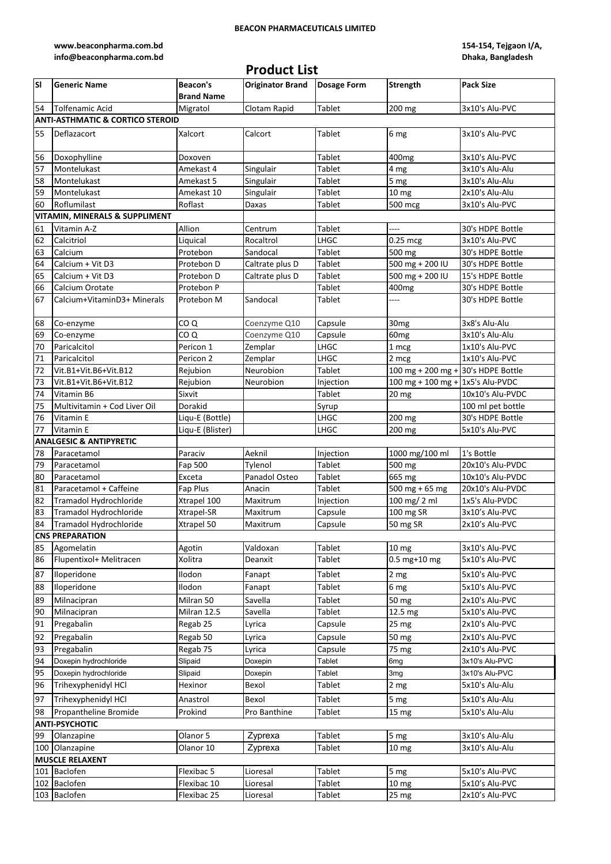### **BEACON PHARMACEUTICALS LIMITED**

**[www.beaconpharma.com.bd](http://www.beaconpharma.com.bd/)  [info@beaconpharma.com.bd](http://www.beaconpharma.com.bd/)**

# **Product List**

**154-154, Tejgaon I/A, Dhaka, Bangladesh**

| lsı | <b>Generic Name</b>                                                                                            | <b>Beacon's</b><br><b>Brand Name</b> | <b>Originator Brand</b> | <b>Dosage Form</b> | <b>Strength</b>                    | <b>Pack Size</b>  |  |
|-----|----------------------------------------------------------------------------------------------------------------|--------------------------------------|-------------------------|--------------------|------------------------------------|-------------------|--|
| 54  | Tolfenamic Acid                                                                                                | Migratol                             | Clotam Rapid            | Tablet             | 200 mg                             | 3x10's Alu-PVC    |  |
|     | <b>ANTI-ASTHMATIC &amp; CORTICO STEROID</b>                                                                    |                                      |                         |                    |                                    |                   |  |
| 55  | Deflazacort                                                                                                    | Xalcort                              | Calcort                 | Tablet             | 6 mg                               | 3x10's Alu-PVC    |  |
| 56  | Doxophylline                                                                                                   | Doxoven                              |                         | Tablet             | 400 <sub>mg</sub>                  | 3x10's Alu-PVC    |  |
| 57  | Montelukast                                                                                                    | Amekast 4                            | Singulair               | <b>Tablet</b>      | 4 mg                               | 3x10's Alu-Alu    |  |
| 58  | Montelukast                                                                                                    | Amekast 5                            | Singulair               | Tablet             | 5 <sub>mg</sub>                    | 3x10's Alu-Alu    |  |
| 59  | Montelukast                                                                                                    | Amekast 10                           | Singulair               | Tablet             | 10 mg                              | 2x10's Alu-Alu    |  |
| 60  | Roflumilast                                                                                                    | Roflast                              | Daxas                   | Tablet             | 500 mcg                            | 3x10's Alu-PVC    |  |
|     | <b>VITAMIN, MINERALS &amp; SUPPLIMENT</b>                                                                      |                                      |                         |                    |                                    |                   |  |
| 61  | Vitamin A-Z                                                                                                    | Allion                               | Centrum                 | Tablet             | ----                               | 30's HDPE Bottle  |  |
| 62  | Calcitriol                                                                                                     | Liquical                             | Rocaltrol               | LHGC               | 0.25 mcg                           | 3x10's Alu-PVC    |  |
| 63  | Calcium                                                                                                        | Protebon                             | Sandocal                | Tablet             | 500 mg                             | 30's HDPE Bottle  |  |
| 64  | Calcium + Vit D3                                                                                               | Protebon D                           | Caltrate plus D         | Tablet             | 500 mg + 200 IU                    | 30's HDPE Bottle  |  |
| 65  | Calcium + Vit D3                                                                                               | Protebon D                           | Caltrate plus D         | Tablet             | 500 mg + 200 IU                    | 15's HDPE Bottle  |  |
| 66  | Calcium Orotate                                                                                                | Protebon P                           |                         | Tablet             | 400mg                              | 30's HDPE Bottle  |  |
| 67  | Calcium+VitaminD3+ Minerals                                                                                    | Protebon M                           | Sandocal                | Tablet             | $---$                              | 30's HDPE Bottle  |  |
| 68  | Co-enzyme                                                                                                      | COQ                                  | Coenzyme Q10            | Capsule            | 30 <sub>mg</sub>                   | 3x8's Alu-Alu     |  |
| 69  | Co-enzyme                                                                                                      | CO <sub>Q</sub>                      | Coenzyme Q10            | Capsule            | 60 <sub>mg</sub>                   | 3x10's Alu-Alu    |  |
| 70  | Paricalcitol                                                                                                   | Pericon 1                            | Zemplar                 | LHGC               | 1 mcg                              | 1x10's Alu-PVC    |  |
| 71  | Paricalcitol                                                                                                   | Pericon 2                            | Zemplar                 | LHGC               | $2 \text{ mcg}$                    | 1x10's Alu-PVC    |  |
| 72  | Vit.B1+Vit.B6+Vit.B12                                                                                          | Rejubion                             | Neurobion               | Tablet             | 100 mg + 200 mg + 30's HDPE Bottle |                   |  |
| 73  | Vit.B1+Vit.B6+Vit.B12                                                                                          | Rejubion                             | Neurobion               | Injection          | 100 mg + 100 mg + 1x5's Alu-PVDC   |                   |  |
| 74  | Vitamin B6                                                                                                     | Sixvit                               |                         | Tablet             | $20$ mg                            | 10x10's Alu-PVDC  |  |
| 75  | Multivitamin + Cod Liver Oil                                                                                   | <b>Dorakid</b>                       |                         | Syrup              |                                    | 100 ml pet bottle |  |
| 76  | Vitamin E                                                                                                      | Liqu-E (Bottle)                      |                         | LHGC               | 200 mg                             | 30's HDPE Bottle  |  |
| 77  | Vitamin E                                                                                                      | Liqu-E (Blister)                     |                         | LHGC               | 200 mg                             | 5x10's Alu-PVC    |  |
|     | <b>ANALGESIC &amp; ANTIPYRETIC</b>                                                                             |                                      |                         |                    |                                    |                   |  |
| 78  | Paracetamol                                                                                                    | Paraciv                              | Aeknil                  | Injection          | 1000 mg/100 ml                     | 1's Bottle        |  |
| 79  | Paracetamol                                                                                                    | Fap 500                              | Tylenol                 | Tablet             | 500 mg                             | 20x10's Alu-PVDC  |  |
| 80  | Paracetamol                                                                                                    | Exceta                               | Panadol Osteo           | Tablet             | 665 mg                             | 10x10's Alu-PVDC  |  |
| 81  | Paracetamol + Caffeine                                                                                         | Fap Plus                             | Anacin                  | Tablet             | 500 mg + 65 mg                     | 20x10's Alu-PVDC  |  |
| 82  | Tramadol Hydrochloride                                                                                         | Xtrapel 100                          | Maxitrum                | Injection          | 100 mg/ 2 ml                       | 1x5's Alu-PVDC    |  |
| 83  | Tramadol Hydrochloride                                                                                         | Xtrapel-SR                           | Maxitrum                | Capsule            | 100 mg SR                          | 3x10's Alu-PVC    |  |
| 84  | Tramadol Hydrochloride                                                                                         | Xtrapel 50                           | Maxitrum                | Capsule            | 50 mg SR                           | 2x10's Alu-PVC    |  |
|     | <b>CNS PREPARATION</b>                                                                                         |                                      |                         |                    |                                    |                   |  |
| 85  | Agomelatin                                                                                                     | Agotin                               | Valdoxan                | Tablet             | 10 <sub>mg</sub>                   | 3x10's Alu-PVC    |  |
| 86  | Flupentixol+ Melitracen                                                                                        | Xolitra                              | Deanxit                 | Tablet             | $0.5$ mg+10 mg                     | 5x10's Alu-PVC    |  |
| 87  | Iloperidone                                                                                                    | Ilodon                               | Fanapt                  | Tablet             | 2 <sub>mg</sub>                    | 5x10's Alu-PVC    |  |
| 88  | Iloperidone                                                                                                    | Ilodon                               | Fanapt                  | Tablet             | 6 mg                               | 5x10's Alu-PVC    |  |
| 89  | Milnacipran                                                                                                    | Milran 50                            | Savella                 | Tablet             | 50 mg                              | 2x10's Alu-PVC    |  |
| 90  | Milnacipran                                                                                                    | Milran 12.5                          | Savella                 | Tablet             | 12.5 mg                            | 5x10's Alu-PVC    |  |
| 91  | Pregabalin                                                                                                     | Regab 25                             | Lyrica                  | Capsule            | 25 <sub>mg</sub>                   | 2x10's Alu-PVC    |  |
| 92  | Pregabalin                                                                                                     | Regab 50                             | Lyrica                  | Capsule            | 50 mg                              | 2x10's Alu-PVC    |  |
| 93  | Pregabalin                                                                                                     | Regab 75                             | Lyrica                  | Capsule            | $75 \text{ mg}$                    | 2x10's Alu-PVC    |  |
| 94  | Doxepin hydrochloride                                                                                          | Slipaid                              | Doxepin                 | Tablet             | 6 <sub>mg</sub>                    | 3x10's Alu-PVC    |  |
| 95  | Doxepin hydrochloride                                                                                          | Slipaid                              | Doxepin                 | Tablet             | 3 <sub>mg</sub>                    | 3x10's Alu-PVC    |  |
| 96  | Trihexyphenidyl HCl                                                                                            | Hexinor                              | Bexol                   | Tablet             | 2 <sub>mg</sub>                    | 5x10's Alu-Alu    |  |
| 97  | Trihexyphenidyl HCl                                                                                            | Anastrol                             | Bexol                   | Tablet             | 5 mg                               | 5x10's Alu-Alu    |  |
| 98  |                                                                                                                |                                      |                         |                    |                                    |                   |  |
|     | Propantheline Bromide<br>Prokind<br>Pro Banthine<br>Tablet<br>15 mg<br>5x10's Alu-Alu<br><b>ANTI-PSYCHOTIC</b> |                                      |                         |                    |                                    |                   |  |
| 99  | Olanzapine                                                                                                     | Olanor 5                             | Zyprexa                 | Tablet             | 5 <sub>mg</sub>                    | 3x10's Alu-Alu    |  |
| 100 | Olanzapine                                                                                                     | Olanor 10                            | Zyprexa                 | Tablet             | 10 <sub>mg</sub>                   | 3x10's Alu-Alu    |  |
|     | <b>MUSCLE RELAXENT</b>                                                                                         |                                      |                         |                    |                                    |                   |  |
| 101 | Baclofen                                                                                                       | Flexibac 5                           | Lioresal                | Tablet             | 5 <sub>mg</sub>                    | 5x10's Alu-PVC    |  |
|     | 102 Baclofen                                                                                                   | Flexibac 10                          | Lioresal                | Tablet             | 10 mg                              | 5x10's Alu-PVC    |  |
|     | 103 Baclofen                                                                                                   | Flexibac 25                          | Lioresal                | Tablet             | 25 mg                              | 2x10's Alu-PVC    |  |
|     |                                                                                                                |                                      |                         |                    |                                    |                   |  |